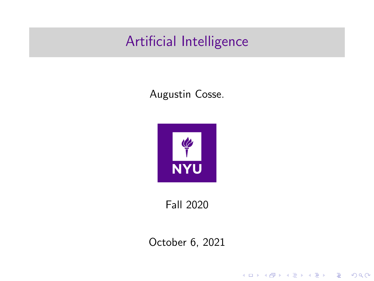# <span id="page-0-0"></span>Artificial Intelligence

#### Augustin Cosse.



Fall 2020

October 6, 2021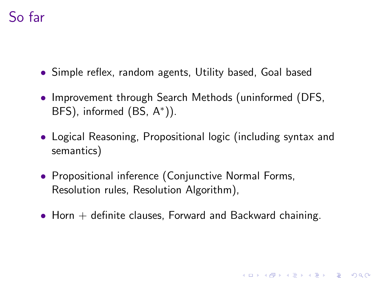# So far

- Simple reflex, random agents, Utility based, Goal based
- Improvement through Search Methods (uninformed (DFS, BFS), informed (BS, A\*)).
- Logical Reasoning, Propositional logic (including syntax and semantics)
- Propositional inference (Conjunctive Normal Forms, Resolution rules, Resolution Algorithm),
- Horn  $+$  definite clauses, Forward and Backward chaining.

**KORK EXTERNE PROVIDE**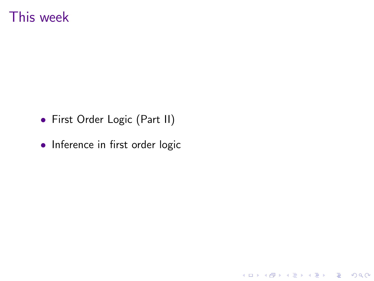#### This week

- First Order Logic (Part II)
- Inference in first order logic

K ロ ▶ K @ ▶ K 할 ▶ K 할 ▶ | 할 | ⊙Q @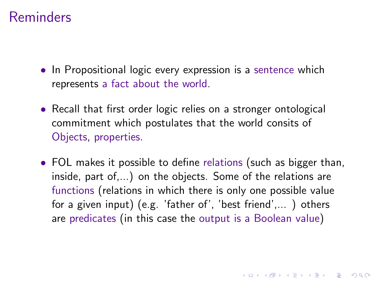#### Reminders

- In Propositional logic every expression is a sentence which represents a fact about the world.
- Recall that first order logic relies on a stronger ontological commitment which postulates that the world consits of Objects, properties.
- FOL makes it possible to define relations (such as bigger than, inside, part of,...) on the objects. Some of the relations are functions (relations in which there is only one possible value for a given input) (e.g. 'father of', 'best friend',... ) others are predicates (in this case the output is a Boolean value)

**KORK EXTERNE PROVIDE**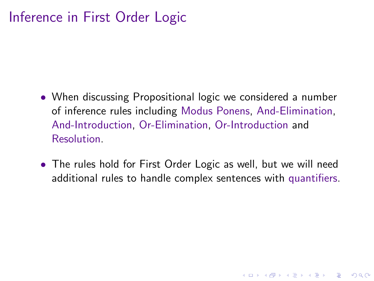- When discussing Propositional logic we considered a number of inference rules including Modus Ponens, And-Elimination, And-Introduction, Or-Elimination, Or-Introduction and Resolution.
- The rules hold for First Order Logic as well, but we will need additional rules to handle complex sentences with quantifiers.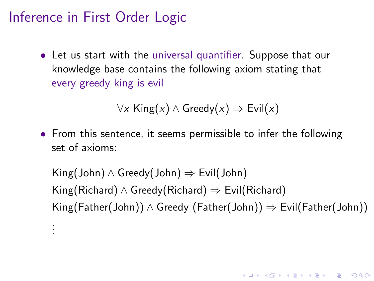. . .

• Let us start with the universal quantifier. Suppose that our knowledge base contains the following axiom stating that every greedy king is evil

$$
\forall x \space King(x) \land \space Greedy(x) \Rightarrow \space Evil(x)
$$

• From this sentence, it seems permissible to infer the following set of axioms:

King(John)  $\land$  Greedy(John)  $\Rightarrow$  Evil(John) King(Richard)  $\land$  Greedy(Richard)  $\Rightarrow$  Evil(Richard) King(Father(John))  $\land$  Greedy (Father(John))  $\Rightarrow$  Evil(Father(John))

4 0 > 4 4 + 4 = + 4 = + = + + 0 4 0 +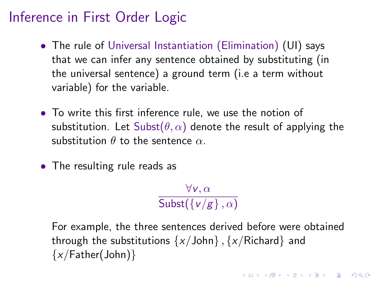- <span id="page-6-0"></span>• The rule of Universal Instantiation (Elimination) (UI) says that we can infer any sentence obtained by substituting (in the universal sentence) a ground term (i.e a term without variable) for the variable.
- To write this first inference rule, we use the notion of substitution. Let  $Subst(\theta, \alpha)$  denote the result of applying the substitution  $\theta$  to the sentence  $\alpha$ .
- The resulting rule reads as

 $\forall v, \alpha$  $\mathsf{Subst}(\{\mathsf{v}/\mathsf{g}\},\alpha)$ 

For example, the three sentences derived before were obtained through the substitutions  $\{x/John\}$ ,  $\{x/Richard\}$  and  $\{x/Father(John)\}$ 

4 0 > 4 4 + 4 = + 4 = + = + + 0 4 0 +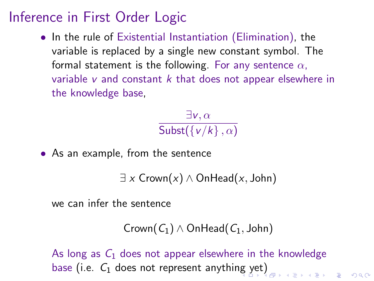<span id="page-7-0"></span>• In the rule of Existential Instantiation (Elimination), the variable is replaced by a single new constant symbol. The formal statement is the following. For any sentence  $\alpha$ , variable  $v$  and constant  $k$  that does not appear elsewhere in the knowledge base,

> $\exists$ v,  $\alpha$  $\mathsf{Subst}(\{\mathsf{v}/\mathsf{k}\}\, ,\alpha)$

• As an example, from the sentence

 $\exists x \text{Crown}(x) \land \text{OnHead}(x, \text{John})$ 

we can infer the sentence

Crown( $C_1$ ) ∧ OnHead( $C_1$ , John)

As long as  $C_1$  does not appear elsewhere in the knowledge base (i.e.  $C_1$  does not represent anythi[ng](#page-6-0) [yet](#page-8-0)[\)](#page-6-0)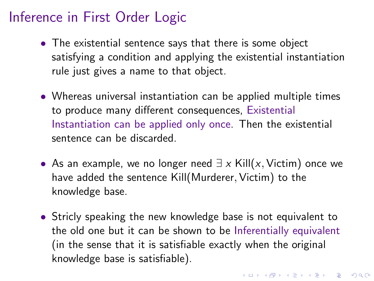- <span id="page-8-0"></span>• The existential sentence says that there is some object satisfying a condition and applying the existential instantiation rule just gives a name to that object.
- Whereas universal instantiation can be applied multiple times to produce many different consequences, Existential Instantiation can be applied only once. Then the existential sentence can be discarded.
- As an example, we no longer need  $\exists x$  Kill $(x, V$ ictim) once we have added the sentence Kill(Murderer, Victim) to the knowledge base.
- Stricly speaking the new knowledge base is not equivalent to the old one but it can be shown to be Inferentially equivalent (in the sense that it is satisfiable exactly when the original knowledge base is satisfiable).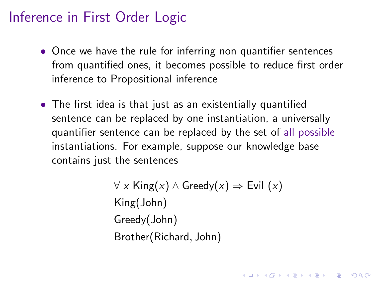- Once we have the rule for inferring non quantifier sentences from quantified ones, it becomes possible to reduce first order inference to Propositional inference
- The first idea is that just as an existentially quantified sentence can be replaced by one instantiation, a universally quantifier sentence can be replaced by the set of all possible instantiations. For example, suppose our knowledge base contains just the sentences

 $\forall x$  King(x)  $\land$  Greedy(x)  $\Rightarrow$  Evil (x) King(John) Greedy(John) Brother(Richard, John)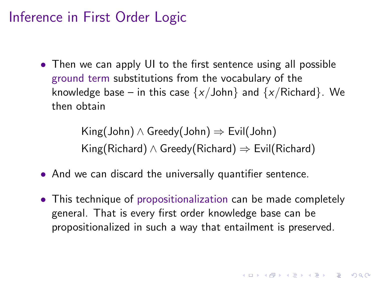• Then we can apply UI to the first sentence using all possible ground term substitutions from the vocabulary of the knowledge base – in this case  $\{x/John\}$  and  $\{x/Richard\}$ . We then obtain

> King(John)  $\land$  Greedy(John)  $\Rightarrow$  Evil(John) King(Richard)  $\land$  Greedy(Richard)  $\Rightarrow$  Evil(Richard)

- And we can discard the universally quantifier sentence.
- This technique of propositionalization can be made completely general. That is every first order knowledge base can be propositionalized in such a way that entailment is preserved.

KID KA KERKER KID KO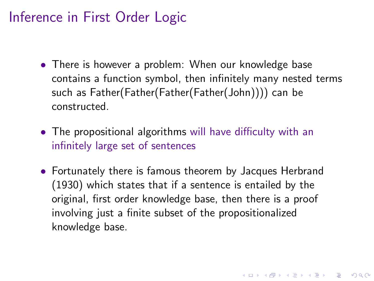- There is however a problem: When our knowledge base contains a function symbol, then infinitely many nested terms such as Father(Father(Father(Father(John)))) can be constructed.
- The propositional algorithms will have difficulty with an infinitely large set of sentences
- Fortunately there is famous theorem by Jacques Herbrand (1930) which states that if a sentence is entailed by the original, first order knowledge base, then there is a proof involving just a finite subset of the propositionalized knowledge base.

KID KA KERKER KID KO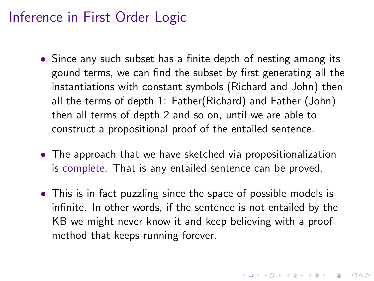- Since any such subset has a finite depth of nesting among its gound terms, we can find the subset by first generating all the instantiations with constant symbols (Richard and John) then all the terms of depth 1: Father(Richard) and Father (John) then all terms of depth 2 and so on, until we are able to construct a propositional proof of the entailed sentence.
- The approach that we have sketched via propositionalization is complete. That is any entailed sentence can be proved.
- This is in fact puzzling since the space of possible models is infinite. In other words, if the sentence is not entailed by the KB we might never know it and keep believing with a proof method that keeps running forever.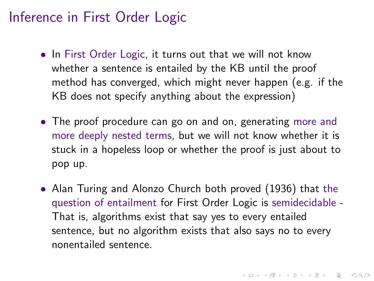- In First Order Logic, it turns out that we will not know whether a sentence is entailed by the KB until the proof method has converged, which might never happen (e.g. if the KB does not specify anything about the expression)
- The proof procedure can go on and on, generating more and more deeply nested terms, but we will not know whether it is stuck in a hopeless loop or whether the proof is just about to pop up.
- Alan Turing and Alonzo Church both proved (1936) that the question of entailment for First Order Logic is semidecidable - That is, algorithms exist that say yes to every entailed sentence, but no algorithm exists that also says no to every nonentailed sentence.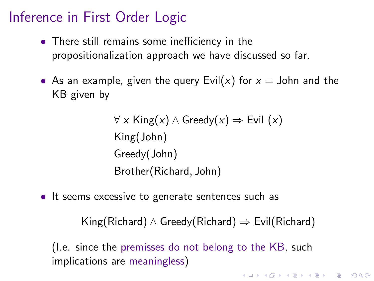- There still remains some inefficiency in the propositionalization approach we have discussed so far.
- As an example, given the query Evil(x) for  $x =$  John and the KB given by

 $\forall x$  King(x)  $\land$  Greedy(x)  $\Rightarrow$  Evil (x) King(John) Greedy(John) Brother(Richard, John)

• It seems excessive to generate sentences such as

King(Richard)  $\land$  Greedy(Richard)  $\Rightarrow$  Evil(Richard)

KID KA KERKER KID KO

(I.e. since the premisses do not belong to the KB, such implications are meaningless)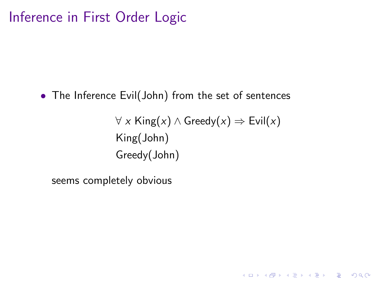<span id="page-15-0"></span>• The Inference Evil(John) from the set of sentences

 $\forall x$  King(x)  $\land$  Greedy(x)  $\Rightarrow$  Evil(x) King(John) Greedy(John)

seems completely obvious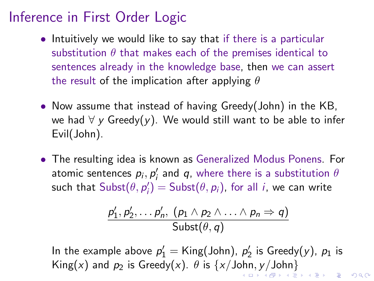- <span id="page-16-0"></span>• Intuitively we would like to say that if there is a particular substitution  $\theta$  that makes each of the premises identical to sentences already in the knowledge base, then we can assert the result of the implication after applying  $\theta$
- Now assume that instead of having Greedy(John) in the KB, we had  $\forall$  y Greedy(y). We would still want to be able to infer Evil(John).
- The resulting idea is known as Generalized Modus Ponens. For atomic sentences  $p_i, p'_i$  and  $q$ , where there is a substitution  $\theta$ such that  $\mathsf{Subst}(\theta, \rho'_i) = \mathsf{Subst}(\theta, \rho_i)$ , for all  $i$ , we can write

$$
\frac{p'_1, p'_2, \ldots p'_n, (p_1 \wedge p_2 \wedge \ldots \wedge p_n \Rightarrow q)}{\mathsf{Subst}(\theta, q)}
$$

In the example above  $p'_1 =$  King(John),  $p'_2$  is Greedy(y),  $p_1$  is King(x) and  $p_2$  is Greedy(x).  $\theta$  is  $\{x/John, y/John\}$  $\{x/John, y/John\}$  $\{x/John, y/John\}$  $\{x/John, y/John\}$  $\{x/John, y/John\}$  $\{x/John, y/John\}$  $\{x/John, y/John\}$  $\{x/John, y/John\}$  $\{x/John, y/John\}$  $\{x/John, y/John\}$  $\{x/John, y/John\}$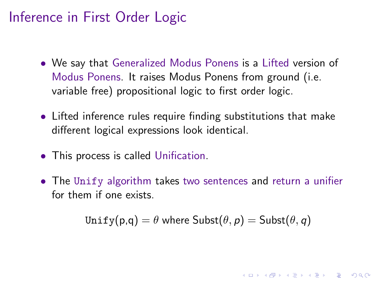- <span id="page-17-0"></span>• We say that Generalized Modus Ponens is a Lifted version of Modus Ponens. It raises Modus Ponens from ground (i.e. variable free) propositional logic to first order logic.
- Lifted inference rules require finding substitutions that make different logical expressions look identical.
- This process is called Unification.
- The Unify algorithm takes two sentences and return a unifier for them if one exists.

Unify(p,q) = 
$$
\theta
$$
 where Subst( $\theta$ , p) = Subst( $\theta$ , q)

4 0 > 4 4 + 4 = + 4 = + = + + 0 4 0 +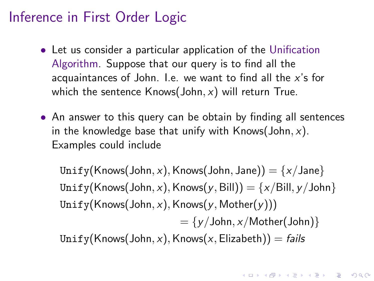- Let us consider a particular application of the Unification Algorithm. Suppose that our query is to find all the acquaintances of John. I.e. we want to find all the  $x$ 's for which the sentence Knows(John,  $x$ ) will return True.
- An answer to this query can be obtain by finding all sentences in the knowledge base that unify with Knows(John,  $x$ ). Examples could include

Unify(Knows(John, x), Knows(John, Jane)) =  $\{x/{\sf Jane}\}$ Unify(Knows(John, x), Knows(y, Bill)) =  $\{x/Bill, y/John\}$  $Unify(Knows(John, x), Knows(y, Mother(y)))$  $=\{y/John, x/Mother(John)\}\$ Unify(Knows(John, x), Knows(x, Elizabeth)) = fails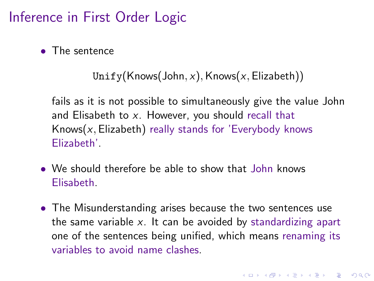• The sentence

```
Unify(Knows(John, x), Knows(x, Elizabeth))
```
fails as it is not possible to simultaneously give the value John and Elisabeth to  $x$ . However, you should recall that  $Knows(x, Elizabeth)$  really stands for 'Everybody knows Elizabeth'.

- We should therefore be able to show that John knows Elisabeth.
- The Misunderstanding arises because the two sentences use the same variable  $x$ . It can be avoided by standardizing apart one of the sentences being unified, which means renaming its variables to avoid name clashes.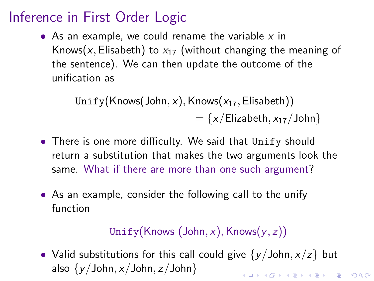• As an example, we could rename the variable  $x$  in Knows(x, Elisabeth) to  $x_{17}$  (without changing the meaning of the sentence). We can then update the outcome of the unification as

> Unify(Knows(John, x), Knows( $x_{17}$ , Elisabeth))  $= {x/Elizableth, x_{17}/John}$

- There is one more difficulty. We said that Unify should return a substitution that makes the two arguments look the same. What if there are more than one such argument?
- As an example, consider the following call to the unify function

#### Unify(Knows (John, x), Knows( $y, z$ ))

• Valid substitutions for this call could give  $\{y/John, x/z\}$  but also  $\{v/John, x/John, z/John\}$ 4 0 > 4 4 + 4 = + 4 = + = + + 0 4 0 +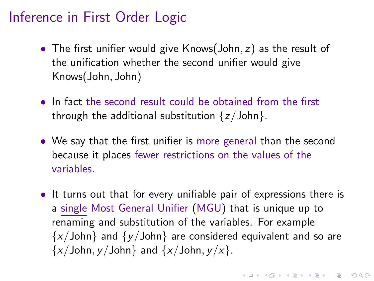- The first unifier would give Knows(John, z) as the result of the unification whether the second unifier would give Knows(John, John)
- In fact the second result could be obtained from the first through the additional substitution  $\{z/John\}$ .
- We say that the first unifier is more general than the second because it places fewer restrictions on the values of the variables.
- It turns out that for every unifiable pair of expressions there is a single Most General Unifier (MGU) that is unique up to renaming and substitution of the variables. For example  $\{x/John\}$  and  $\{y/John\}$  are considered equivalent and so are  $\{x/John, y/John\}$  and  $\{x/John, y/x\}$ .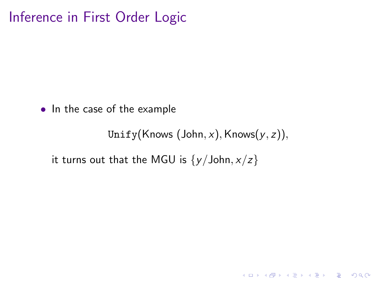• In the case of the example

Unify(Knows (John, x), Knows(y, z)),

it turns out that the MGU is  $\{y/John, x/z\}$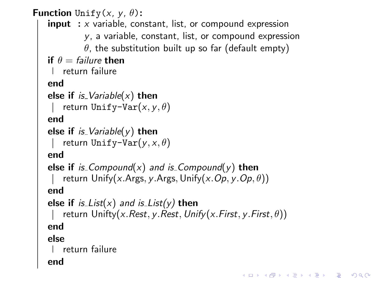```
Function Unify(x, y, \theta):
   input : x variable, constant, list, or compound expression
             y, a variable, constant, list, or compound expression
             \theta, the substitution built up so far (default empty)
   if \theta = \text{failure} then
    | return failure
   end
   else if is Variable(x) then
    | return Unify-Var(x, y, \theta)end
   else if is-Variable(y) then
      return Unify-Var(y, x, \theta)end
   else if is Compound(x) and is Compound(y) then
       return Unify(x.Args, y.Args, Unify(x.Op, y.Op, \theta))
   end
   else if is_List(x) and is_List(y) then
       return Unifty(x.Rest, y.Rest, Unify(x.First, y.First, \theta))
   end
   else
       return failure
   end
```
**KORK EXTERNE PROVIDE**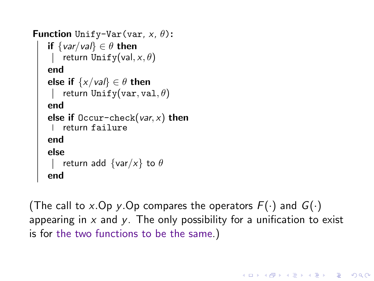```
Function Unify-Var(var, x, \theta):
     if \{var/val\} \in \theta then<br>| return Unify(val, x, \theta)
     end
     else if \{x/val\} \in \theta then<br>| return Unify(var, val, \theta)
     end
     else if 0ccur-check(var, x) then
      | return failure
     end
     else
         \mathfrak{se} return add \{\mathsf{var}/x\} to \thetaend
```
(The call to x.Op y.Op compares the operators  $F(\cdot)$  and  $G(\cdot)$ ) appearing in  $x$  and  $y$ . The only possibility for a unification to exist is for the two functions to be the same.)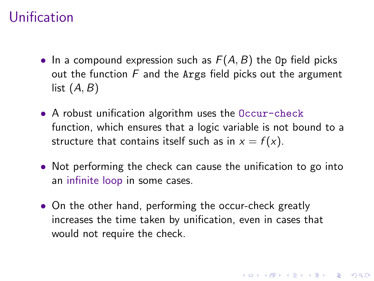## Unification

- In a compound expression such as  $F(A, B)$  the Op field picks out the function  $F$  and the Args field picks out the argument list  $(A, B)$
- A robust unification algorithm uses the Occur-check function, which ensures that a logic variable is not bound to a structure that contains itself such as in  $x = f(x)$ .
- Not performing the check can cause the unification to go into an infinite loop in some cases.

**KORKAR KERKER SAGA** 

• On the other hand, performing the occur-check greatly increases the time taken by unification, even in cases that would not require the check.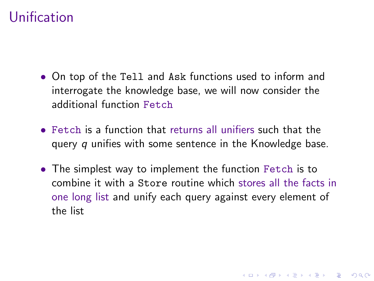## Unification

- On top of the Tell and Ask functions used to inform and interrogate the knowledge base, we will now consider the additional function Fetch
- Fetch is a function that returns all unifiers such that the query q unifies with some sentence in the Knowledge base.
- The simplest way to implement the function Fetch is to combine it with a Store routine which stores all the facts in one long list and unify each query against every element of the list

4 0 > 4 4 + 4 = + 4 = + = + + 0 4 0 +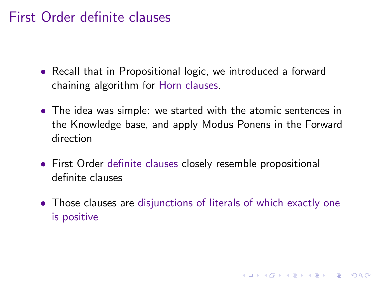## First Order definite clauses

- Recall that in Propositional logic, we introduced a forward chaining algorithm for Horn clauses.
- The idea was simple: we started with the atomic sentences in the Knowledge base, and apply Modus Ponens in the Forward direction
- First Order definite clauses closely resemble propositional definite clauses
- Those clauses are disjunctions of literals of which exactly one is positive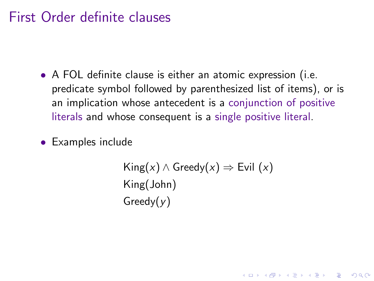#### First Order definite clauses

- A FOL definite clause is either an atomic expression (i.e. predicate symbol followed by parenthesized list of items), or is an implication whose antecedent is a conjunction of positive literals and whose consequent is a single positive literal.
- Examples include

```
King(x) ∧ Greedy(x) \Rightarrow Evil (x)
King(John)
Greedy(y)
```
4 0 > 4 4 + 4 = + 4 = + = + + 0 4 0 +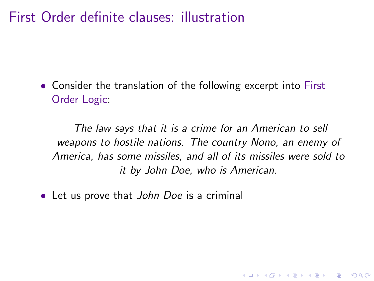• Consider the translation of the following excerpt into First Order Logic:

The law says that it is a crime for an American to sell weapons to hostile nations. The country Nono, an enemy of America, has some missiles, and all of its missiles were sold to it by John Doe, who is American.

**KORKARYKERKER POLO** 

• Let us prove that *John Doe* is a criminal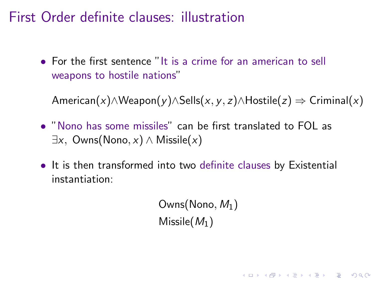• For the first sentence "It is a crime for an american to sell weapons to hostile nations"

American(x)∧Weapon(y)∧Sells(x, y, z)∧Hostile(z)  $\Rightarrow$  Criminal(x)

- "Nono has some missiles" can be first translated to FOL as  $\exists x$ , Owns(Nono, x)  $\wedge$  Missile(x)
- It is then transformed into two definite clauses by Existential instantiation:

Owns(Nono,  $M_1$ ) Missile( $M_1$ )

**KORKAR KERKER SAGA**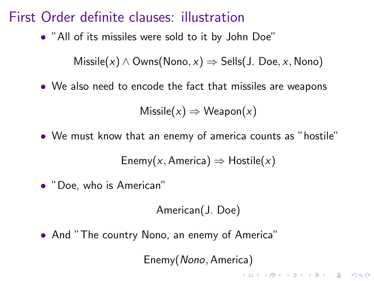• "All of its missiles were sold to it by John Doe"

 $Missile(x) \wedge Owns(Nono, x) \Rightarrow Sells(J. Doe, x, Nono)$ 

• We also need to encode the fact that missiles are weapons

 $Missile(x) \Rightarrow Weapon(x)$ 

• We must know that an enemy of america counts as "hostile"

Enemy(x, America)  $\Rightarrow$  Hostile(x)

• "Doe, who is American"

American(J. Doe)

• And "The country Nono, an enemy of America"

Enemy(Nono, America)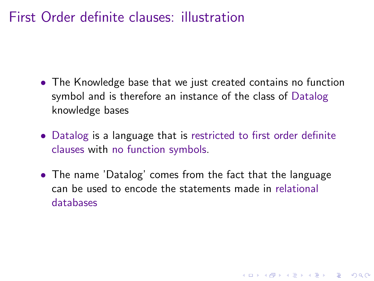- The Knowledge base that we just created contains no function symbol and is therefore an instance of the class of Datalog knowledge bases
- Datalog is a language that is restricted to first order definite clauses with no function symbols.
- The name 'Datalog' comes from the fact that the language can be used to encode the statements made in relational databases

K ロ ▶ K 個 ▶ K 할 ▶ K 할 ▶ 이 할 → 9 Q Q →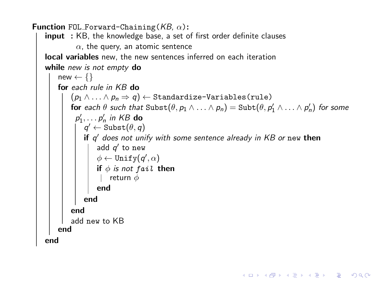```
Function FOL Forward-Chaining(KB, \alpha):
      input : KB, the knowledge base, a set of first order definite clauses
                     \alpha, the query, an atomic sentence
      local variables new, the new sentences inferred on each iteration
      while new is not empty do \vert new \leftarrow \{ \}new \leftarrow \{\}<br>for each rule in KB do
                    (p_1 \land \ldots \land p_n \Rightarrow q) \leftarrow \text{Standardize-Variables(rule)}for each \theta such that \text{Subst}(\theta, p_1 \wedge \ldots \wedge p_n) = \text{Subt}(\theta, p'_1 \wedge \ldots \wedge p'_n)<br>
p'_1, \ldots, p'_n in KB do
      \begin{cases}\n(p_1 \land \ldots \land p_n \Rightarrow q) \leftarrow \text{Standardize-Variables}(\text{rule}) \\
\text{for each } \theta \text{ such that } \text{Subset}(\theta, p_1 \land \ldots \land p_n) = \text{Subt}(\theta, p'_1 \land \ldots \land p'_n) \text{ for some } p'_1, \ldots, p'_n \text{ in } \mathcal{KB} \text{ do}\n\end{cases}q' \leftarrow \text{Subst}(\theta, q)<br>if q' does not unify with some sentence already in KB or \text{new} then
                                 add q' to new
                                 \phi \leftarrow \texttt{Unify}(q', \alpha)if \phi is not fail then
                                       return \phiend
                       end
                    end
                   add new to KB
             end
      end
```
**KORKARYKERKER POLO**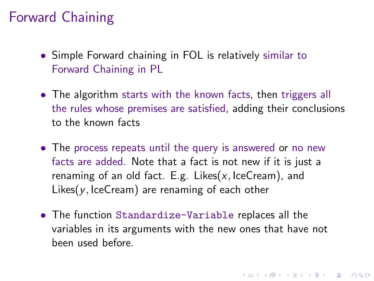- Simple Forward chaining in FOL is relatively similar to Forward Chaining in PL
- The algorithm starts with the known facts, then triggers all the rules whose premises are satisfied, adding their conclusions to the known facts
- The process repeats until the query is answered or no new facts are added. Note that a fact is not new if it is just a renaming of an old fact. E.g. Likes $(x, \text{iceCream})$ , and Likes( $y$ , IceCream) are renaming of each other
- The function Standardize-Variable replaces all the variables in its arguments with the new ones that have not been used before.

4 0 > 4 4 + 4 = + 4 = + = + + 0 4 0 +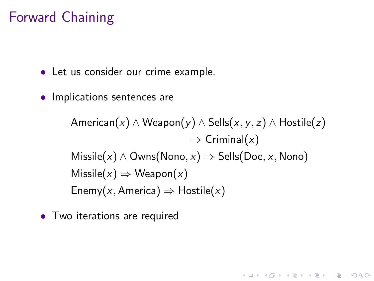- Let us consider our crime example.
- Implications sentences are

```
American(x) ∧ Weapon(y) ∧ Sells(x, y, z) ∧ Hostile(z)
                              \Rightarrow Criminal(x)
Missile(x) \wedge Owns(Nono, x) \Rightarrow Sells(Doe, x, Nono)Missile(x) \Rightarrow Weapon(x)Enemy(x, America) \Rightarrow Hostile(x)
```
• Two iterations are required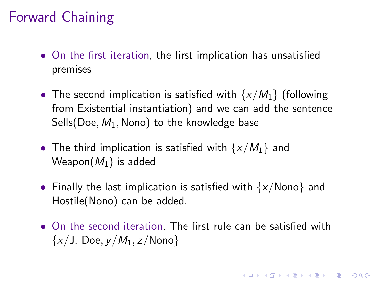- On the first iteration, the first implication has unsatisfied premises
- The second implication is satisfied with  $\{x/M_1\}$  (following from Existential instantiation) and we can add the sentence Sells(Doe,  $M_1$ , Nono) to the knowledge base
- The third implication is satisfied with  $\{x/M_1\}$  and Weapon $(M_1)$  is added
- Finally the last implication is satisfied with  $\{x/N$ ono} and Hostile(Nono) can be added.
- On the second iteration, The first rule can be satisfied with  $\{x/\text{J. Doe}, y/M_1, z/N$ ono $\}$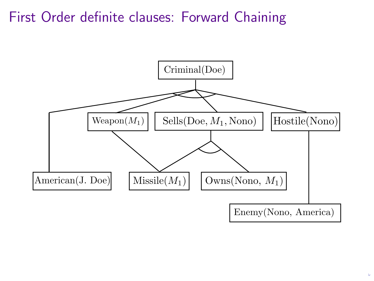# First Order definite clauses: Forward Chaining

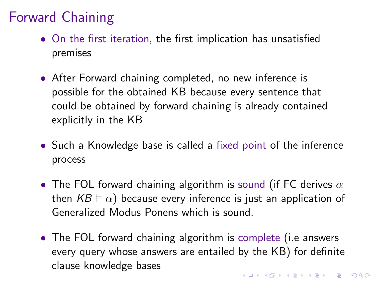- On the first iteration, the first implication has unsatisfied premises
- After Forward chaining completed, no new inference is possible for the obtained KB because every sentence that could be obtained by forward chaining is already contained explicitly in the KB
- Such a Knowledge base is called a fixed point of the inference process
- The FOL forward chaining algorithm is sound (if FC derives  $\alpha$ then  $KB \models \alpha$ ) because every inference is just an application of Generalized Modus Ponens which is sound.
- The FOL forward chaining algorithm is complete (i.e answers every query whose answers are entailed by the KB) for definite clause knowledge basesKID KA KERKER KID KO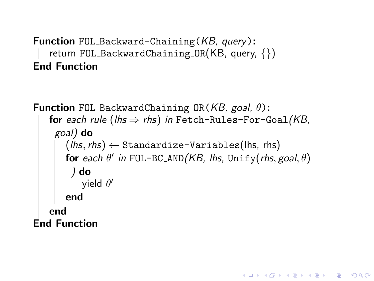**Function** FOL Backward-Chaining (*KB*, *query*): return FOL BackwardChaining OR(KB, query, {}) End Function

```
Function FOL BackwardChaining OR(KB, goal, \theta):
   for each rule (lhs \Rightarrow rhs) in Fetch-Rules-For-Goal(KB,
    goal) do
        (lhs,rhs) \leftarrow Standardize-Variables(lhs, rhs)
        for each \theta' in FOL-BC_AND(KB, lhs, Unify(rhs, goal, \theta)
         ) do
            yield \theta'end
   end
End Function
```
**KORKARYKERKER POLO**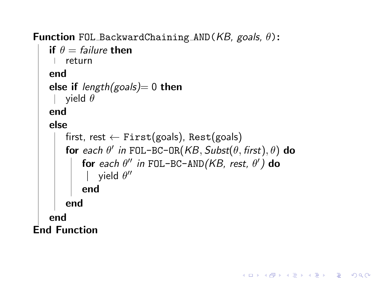```
Function FOL BackwardChaining AND(KB, goals, \theta):
```

```
if \theta = \text{failure} then
         return
    end
    else if length(goals)=0 then
     | yield \thetaend
    else
         first, rest \leftarrow First(goals), Rest(goals)
         for each \theta' in FOL-BC-OR(KB, Subst(\theta, first), \theta) do
              for each \theta'' in FOL-BC-AND(\mathcal{KB}, \ \mathit{rest}, \ \theta') do
                   yield \theta''end
         end
    end
End Function
```
K ロ ▶ K 個 ▶ K 할 ▶ K 할 ▶ 이 할 → 이익 @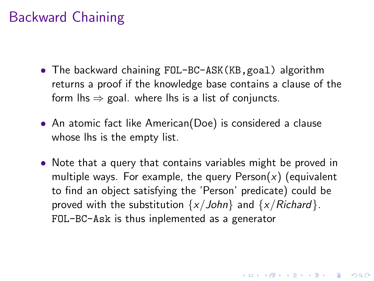# Backward Chaining

- The backward chaining FOL-BC-ASK(KB,goal) algorithm returns a proof if the knowledge base contains a clause of the form lhs  $\Rightarrow$  goal. where lhs is a list of conjuncts.
- An atomic fact like American(Doe) is considered a clause whose lhs is the empty list.
- Note that a query that contains variables might be proved in multiple ways. For example, the query  $Person(x)$  (equivalent to find an object satisfying the 'Person' predicate) could be proved with the substitution  $\{x/John\}$  and  $\{x/Richard\}$ . FOL-BC-Ask is thus inplemented as a generator

4 0 > 4 4 + 4 = + 4 = + = + + 0 4 0 +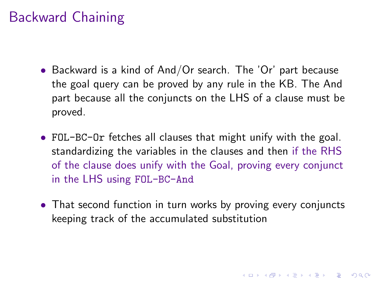# Backward Chaining

- Backward is a kind of And/Or search. The 'Or' part because the goal query can be proved by any rule in the KB. The And part because all the conjuncts on the LHS of a clause must be proved.
- FOL-BC-Or fetches all clauses that might unify with the goal. standardizing the variables in the clauses and then if the RHS of the clause does unify with the Goal, proving every conjunct in the LHS using FOL-BC-And
- That second function in turn works by proving every conjuncts keeping track of the accumulated substitution

4 0 > 4 4 + 4 = + 4 = + = + + 0 4 0 +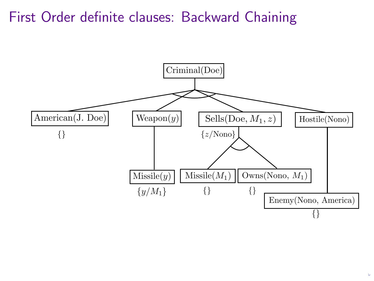# First Order definite clauses: Backward Chaining

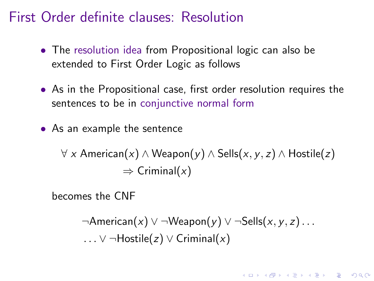- The resolution idea from Propositional logic can also be extended to First Order Logic as follows
- As in the Propositional case, first order resolution requires the sentences to be in conjunctive normal form
- As an example the sentence

 $\forall$  x American(x) ∧ Weapon(y) ∧ Sells(x, y, z) ∧ Hostile(z)  $\Rightarrow$  Criminal(x)

becomes the CNF

 $\neg$ American(x)  $\vee \neg$ Weapon(y)  $\vee \neg$ Sells(x, y, z)... ...  $\vee$  ¬Hostile(z)  $\vee$  Criminal(x)

KID KA KERKER KID KO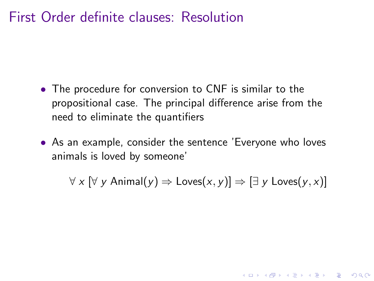- The procedure for conversion to CNF is similar to the propositional case. The principal difference arise from the need to eliminate the quantifiers
- As an example, consider the sentence 'Everyone who loves animals is loved by someone'

 $\forall x \forall y \text{ Animal}(y) \Rightarrow \text{Loves}(x, y) \Rightarrow \exists y \text{ Loves}(y, x)$ 

**KORKAR KERKER SAGA**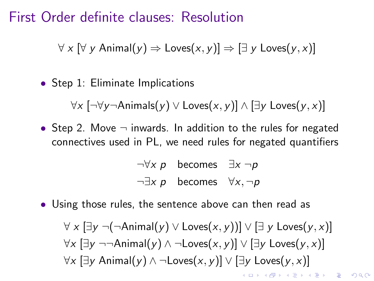$$
\forall x [\forall y \text{ Animal}(y) \Rightarrow \text{Loves}(x, y)] \Rightarrow [\exists y \text{ Loves}(y, x)]
$$

• Step 1: Eliminate Implications

 $\forall x$  [¬ $\forall y$ ¬Animals(y)  $\lor$  Loves(x, y)]  $\land$  [ $\exists y$  Loves(y, x)]

• Step 2. Move  $\neg$  inwards. In addition to the rules for negated connectives used in PL, we need rules for negated quantifiers

> $\neg \forall x \ p$  becomes  $\exists x \ \neg p$  $\neg \exists x \ p$  becomes  $\forall x, \neg p$

• Using those rules, the sentence above can then read as

$$
\forall x [\exists y \neg(\neg \text{Animal}(y) \lor \text{Loves}(x, y))] \lor [\exists y \text{Loves}(y, x)]
$$
  

$$
\forall x [\exists y \neg\neg \text{Animal}(y) \land \neg \text{Loves}(x, y)] \lor [\exists y \text{Loves}(y, x)]
$$
  

$$
\forall x [\exists y \text{Animal}(y) \land \neg \text{Loves}(x, y)] \lor [\exists y \text{Loves}(y, x)]
$$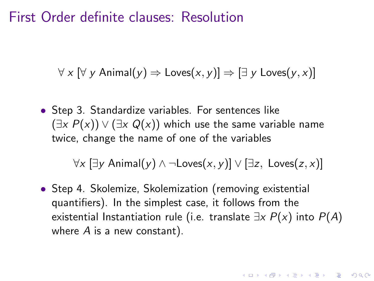$\forall x \forall y \text{ Animal}(y) \Rightarrow \text{Loves}(x, y) \Rightarrow \exists y \text{ Loves}(y, x)$ 

• Step 3. Standardize variables. For sentences like  $(\exists x P(x)) \vee (\exists x Q(x))$  which use the same variable name twice, change the name of one of the variables

 $\forall x$  [∃y Animal(y)  $\wedge \neg Loves(x, y)$ ]  $\vee$  [∃z, Loves(z, x)]

• Step 4. Skolemize, Skolemization (removing existential quantifiers). In the simplest case, it follows from the existential Instantiation rule (i.e. translate  $\exists x P(x)$  into  $P(A)$ where  $A$  is a new constant).

KID KA KERKER E VOOR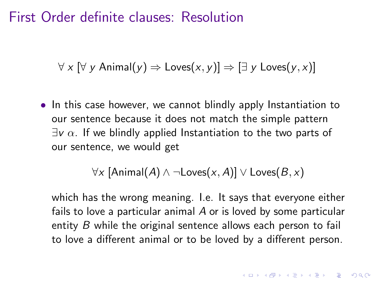$\forall x \forall y \text{ Animal}(y) \Rightarrow \text{Loves}(x, y) \Rightarrow \exists y \text{ Loves}(y, x)$ 

• In this case however, we cannot blindly apply Instantiation to our sentence because it does not match the simple pattern  $\exists v \alpha$ . If we blindly applied Instantiation to the two parts of our sentence, we would get

$$
\forall x \; [\text{Animal}(A) \land \neg \text{Loves}(x, A)] \lor \text{Loves}(B, x)
$$

which has the wrong meaning. I.e. It says that everyone either fails to love a particular animal A or is loved by some particular entity B while the original sentence allows each person to fail to love a different animal or to be loved by a different person.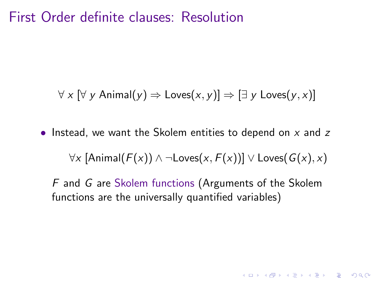$\forall x \forall y \text{ Animal}(y) \Rightarrow \text{Loves}(x, y) \Rightarrow \exists y \text{ Loves}(y, x)$ 

• Instead, we want the Skolem entities to depend on  $x$  and  $z$  $\forall x$  [Animal( $F(x)$ ) ∧ ¬Loves( $x, F(x)$ )]  $\lor$  Loves( $G(x), x$ )

F and G are Skolem functions (Arguments of the Skolem functions are the universally quantified variables)

**KORKAR KERKER SAGA**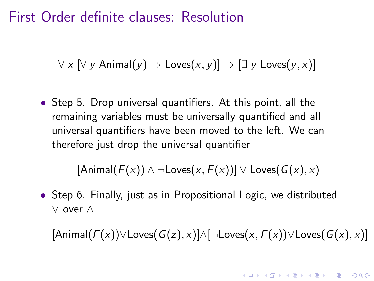$\forall x \forall y \text{ Animal}(y) \Rightarrow \text{Loves}(x, y) \Rightarrow \exists y \text{ Loves}(y, x)$ 

• Step 5. Drop universal quantifiers. At this point, all the remaining variables must be universally quantified and all universal quantifiers have been moved to the left. We can therefore just drop the universal quantifier

 $[Animal(F(x)) \wedge \neg Loves(x, F(x))] \vee Loves(G(x), x)$ 

• Step 6. Finally, just as in Propositional Logic, we distributed ∨ over ∧

 $[Animal(F(x)) \lor Loves(G(z), x)] \land \Box Loves(x, F(x)) \lor Loves(G(x), x)]$ 

YO A 4 4 4 4 5 A 4 5 A 4 D + 4 D + 4 D + 4 D + 4 D + 4 D + + E + + D + + E + + O + O + + + + + + + +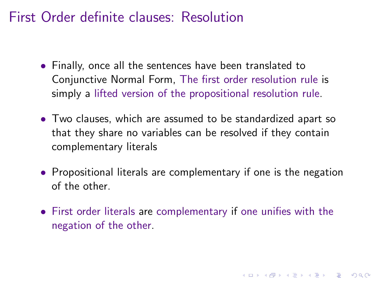- Finally, once all the sentences have been translated to Conjunctive Normal Form, The first order resolution rule is simply a lifted version of the propositional resolution rule.
- Two clauses, which are assumed to be standardized apart so that they share no variables can be resolved if they contain complementary literals
- Propositional literals are complementary if one is the negation of the other.
- First order literals are complementary if one unifies with the negation of the other.

4 0 > 4 4 + 4 = + 4 = + = + + 0 4 0 +